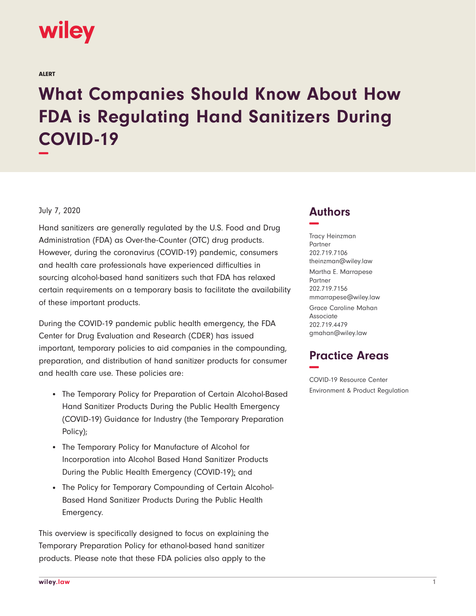# **wiley**

ALERT

# **What Companies Should Know About How FDA is Regulating Hand Sanitizers During COVID-19 −**

## July 7, 2020

Hand sanitizers are generally regulated by the U.S. Food and Drug Administration (FDA) as Over-the-Counter (OTC) drug products. However, during the coronavirus (COVID-19) pandemic, consumers and health care professionals have experienced difficulties in sourcing alcohol-based hand sanitizers such that FDA has relaxed certain requirements on a temporary basis to facilitate the availability of these important products.

During the COVID-19 pandemic public health emergency, the FDA Center for Drug Evaluation and Research (CDER) has issued important, temporary policies to aid companies in the compounding, preparation, and distribution of hand sanitizer products for consumer and health care use. These policies are:

- The Temporary Policy for Preparation of Certain Alcohol-Based Hand Sanitizer Products During the Public Health Emergency (COVID-19) Guidance for Industry (the Temporary Preparation Policy);
- The Temporary Policy for Manufacture of Alcohol for Incorporation into Alcohol Based Hand Sanitizer Products During the Public Health Emergency (COVID-19); and
- The Policy for Temporary Compounding of Certain Alcohol-Based Hand Sanitizer Products During the Public Health Emergency.

This overview is specifically designed to focus on explaining the Temporary Preparation Policy for ethanol-based hand sanitizer products. Please note that these FDA policies also apply to the

# **Authors −**

Tracy Heinzman Partner 202.719.7106 theinzman@wiley.law Martha E. Marrapese Partner 202.719.7156 mmarrapese@wiley.law

Grace Caroline Mahan Associate 202.719.4479 gmahan@wiley.law

# **Practice Areas −**

COVID-19 Resource Center Environment & Product Regulation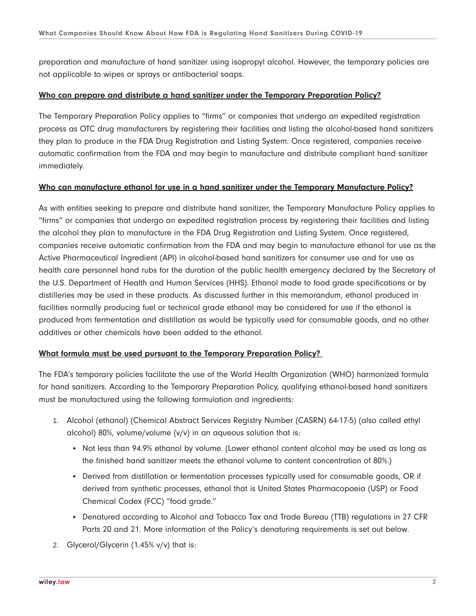preparation and manufacture of hand sanitizer using isopropyl alcohol. However, the temporary policies are not applicable to wipes or sprays or antibacterial soaps.

## **Who can prepare and distribute a hand sanitizer under the Temporary Preparation Policy?**

The Temporary Preparation Policy applies to "firms" or companies that undergo an expedited registration process as OTC drug manufacturers by registering their facilities and listing the alcohol-based hand sanitizers they plan to produce in the FDA Drug Registration and Listing System. Once registered, companies receive automatic confirmation from the FDA and may begin to manufacture and distribute compliant hand sanitizer immediately.

#### **Who can manufacture ethanol for use in a hand sanitizer under the Temporary Manufacture Policy?**

As with entities seeking to prepare and distribute hand sanitizer, the Temporary Manufacture Policy applies to "firms" or companies that undergo an expedited registration process by registering their facilities and listing the alcohol they plan to manufacture in the FDA Drug Registration and Listing System. Once registered, companies receive automatic confirmation from the FDA and may begin to manufacture ethanol for use as the Active Pharmaceutical Ingredient (API) in alcohol-based hand sanitizers for consumer use and for use as health care personnel hand rubs for the duration of the public health emergency declared by the Secretary of the U.S. Department of Health and Human Services (HHS). Ethanol made to food grade specifications or by distilleries may be used in these products. As discussed further in this memorandum, ethanol produced in facilities normally producing fuel or technical grade ethanol may be considered for use if the ethanol is produced from fermentation and distillation as would be typically used for consumable goods, and no other additives or other chemicals have been added to the ethanol.

## **What formula must be used pursuant to the Temporary Preparation Policy?**

The FDA's temporary policies facilitate the use of the World Health Organization (WHO) harmonized formula for hand sanitizers. According to the Temporary Preparation Policy, qualifying ethanol-based hand sanitizers must be manufactured using the following formulation and ingredients:

- 1. Alcohol (ethanol) (Chemical Abstract Services Registry Number (CASRN) 64-17-5) (also called ethyl alcohol) 80%, volume/volume (v/v) in an aqueous solution that is:
	- Not less than 94.9% ethanol by volume. (Lower ethanol content alcohol may be used as long as the finished hand sanitizer meets the ethanol volume to content concentration of 80%.)
	- Derived from distillation or fermentation processes typically used for consumable goods, OR if derived from synthetic processes, ethanol that is United States Pharmacopoeia (USP) or Food Chemical Codex (FCC) "food grade."
	- Denatured according to Alcohol and Tobacco Tax and Trade Bureau (TTB) regulations in 27 CFR Parts 20 and 21. More information of the Policy's denaturing requirements is set out below.
- 2. Glycerol/Glycerin (1.45% v/v) that is: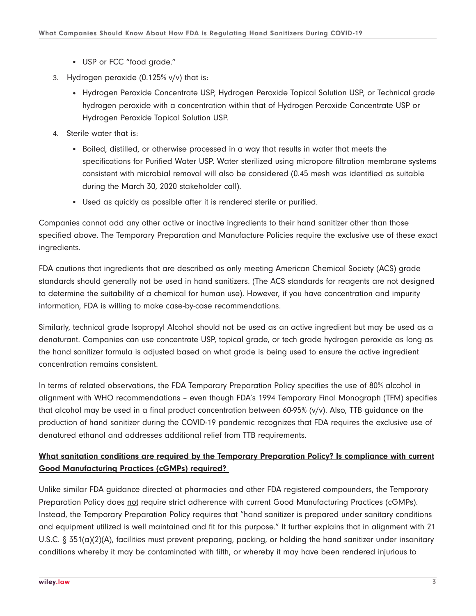- USP or FCC "food grade."
- 3. Hydrogen peroxide (0.125% v/v) that is:
	- Hydrogen Peroxide Concentrate USP, Hydrogen Peroxide Topical Solution USP, or Technical grade hydrogen peroxide with a concentration within that of Hydrogen Peroxide Concentrate USP or Hydrogen Peroxide Topical Solution USP.
- 4. Sterile water that is:
	- Boiled, distilled, or otherwise processed in a way that results in water that meets the specifications for Purified Water USP. Water sterilized using micropore filtration membrane systems consistent with microbial removal will also be considered (0.45 mesh was identified as suitable during the March 30, 2020 stakeholder call).
	- Used as quickly as possible after it is rendered sterile or purified.

Companies cannot add any other active or inactive ingredients to their hand sanitizer other than those specified above. The Temporary Preparation and Manufacture Policies require the exclusive use of these exact ingredients.

FDA cautions that ingredients that are described as only meeting American Chemical Society (ACS) grade standards should generally not be used in hand sanitizers. (The ACS standards for reagents are not designed to determine the suitability of a chemical for human use). However, if you have concentration and impurity information, FDA is willing to make case-by-case recommendations.

Similarly, technical grade Isopropyl Alcohol should not be used as an active ingredient but may be used as a denaturant. Companies can use concentrate USP, topical grade, or tech grade hydrogen peroxide as long as the hand sanitizer formula is adjusted based on what grade is being used to ensure the active ingredient concentration remains consistent.

In terms of related observations, the FDA Temporary Preparation Policy specifies the use of 80% alcohol in alignment with WHO recommendations – even though FDA's 1994 Temporary Final Monograph (TFM) specifies that alcohol may be used in a final product concentration between 60-95% (v/v). Also, TTB guidance on the production of hand sanitizer during the COVID-19 pandemic recognizes that FDA requires the exclusive use of denatured ethanol and addresses additional relief from TTB requirements.

# **What sanitation conditions are required by the Temporary Preparation Policy? Is compliance with current Good Manufacturing Practices (cGMPs) required?**

Unlike similar FDA guidance directed at pharmacies and other FDA registered compounders, the Temporary Preparation Policy does not require strict adherence with current Good Manufacturing Practices (cGMPs). Instead, the Temporary Preparation Policy requires that "hand sanitizer is prepared under sanitary conditions and equipment utilized is well maintained and fit for this purpose." It further explains that in alignment with 21 U.S.C. § 351(a)(2)(A), facilities must prevent preparing, packing, or holding the hand sanitizer under insanitary conditions whereby it may be contaminated with filth, or whereby it may have been rendered injurious to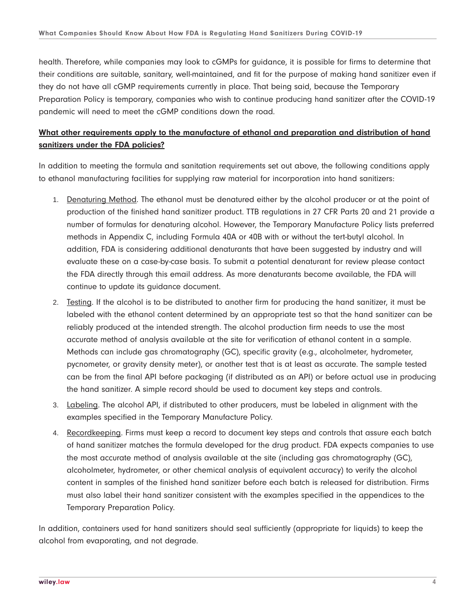health. Therefore, while companies may look to cGMPs for guidance, it is possible for firms to determine that their conditions are suitable, sanitary, well-maintained, and fit for the purpose of making hand sanitizer even if they do not have all cGMP requirements currently in place. That being said, because the Temporary Preparation Policy is temporary, companies who wish to continue producing hand sanitizer after the COVID-19 pandemic will need to meet the cGMP conditions down the road.

# **What other requirements apply to the manufacture of ethanol and preparation and distribution of hand sanitizers under the FDA policies?**

In addition to meeting the formula and sanitation requirements set out above, the following conditions apply to ethanol manufacturing facilities for supplying raw material for incorporation into hand sanitizers:

- 1. Denaturing Method. The ethanol must be denatured either by the alcohol producer or at the point of production of the finished hand sanitizer product. TTB regulations in 27 CFR Parts 20 and 21 provide a number of formulas for denaturing alcohol. However, the Temporary Manufacture Policy lists preferred methods in Appendix C, including Formula 40A or 40B with or without the tert-butyl alcohol. In addition, FDA is considering additional denaturants that have been suggested by industry and will evaluate these on a case-by-case basis. To submit a potential denaturant for review please contact the FDA directly through this email address. As more denaturants become available, the FDA will continue to update its guidance document.
- 2. Testing. If the alcohol is to be distributed to another firm for producing the hand sanitizer, it must be labeled with the ethanol content determined by an appropriate test so that the hand sanitizer can be reliably produced at the intended strength. The alcohol production firm needs to use the most accurate method of analysis available at the site for verification of ethanol content in a sample. Methods can include gas chromatography (GC), specific gravity (e.g., alcoholmeter, hydrometer, pycnometer, or gravity density meter), or another test that is at least as accurate. The sample tested can be from the final API before packaging (if distributed as an API) or before actual use in producing the hand sanitizer. A simple record should be used to document key steps and controls.
- 3. Labeling. The alcohol API, if distributed to other producers, must be labeled in alignment with the examples specified in the Temporary Manufacture Policy.
- 4. Recordkeeping. Firms must keep a record to document key steps and controls that assure each batch of hand sanitizer matches the formula developed for the drug product. FDA expects companies to use the most accurate method of analysis available at the site (including gas chromatography (GC), alcoholmeter, hydrometer, or other chemical analysis of equivalent accuracy) to verify the alcohol content in samples of the finished hand sanitizer before each batch is released for distribution. Firms must also label their hand sanitizer consistent with the examples specified in the appendices to the Temporary Preparation Policy.

In addition, containers used for hand sanitizers should seal sufficiently (appropriate for liquids) to keep the alcohol from evaporating, and not degrade.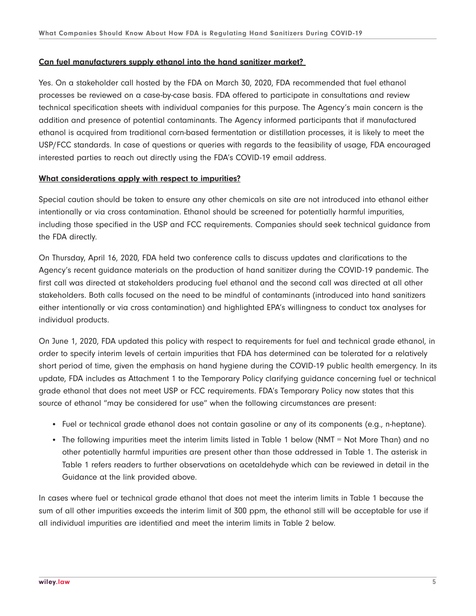#### **Can fuel manufacturers supply ethanol into the hand sanitizer market?**

Yes. On a stakeholder call hosted by the FDA on March 30, 2020, FDA recommended that fuel ethanol processes be reviewed on a case-by-case basis. FDA offered to participate in consultations and review technical specification sheets with individual companies for this purpose. The Agency's main concern is the addition and presence of potential contaminants. The Agency informed participants that if manufactured ethanol is acquired from traditional corn-based fermentation or distillation processes, it is likely to meet the USP/FCC standards. In case of questions or queries with regards to the feasibility of usage, FDA encouraged interested parties to reach out directly using the FDA's COVID-19 email address.

#### **What considerations apply with respect to impurities?**

Special caution should be taken to ensure any other chemicals on site are not introduced into ethanol either intentionally or via cross contamination. Ethanol should be screened for potentially harmful impurities, including those specified in the USP and FCC requirements. Companies should seek technical guidance from the FDA directly.

On Thursday, April 16, 2020, FDA held two conference calls to discuss updates and clarifications to the Agency's recent guidance materials on the production of hand sanitizer during the COVID-19 pandemic. The first call was directed at stakeholders producing fuel ethanol and the second call was directed at all other stakeholders. Both calls focused on the need to be mindful of contaminants (introduced into hand sanitizers either intentionally or via cross contamination) and highlighted EPA's willingness to conduct tox analyses for individual products.

On June 1, 2020, FDA updated this policy with respect to requirements for fuel and technical grade ethanol, in order to specify interim levels of certain impurities that FDA has determined can be tolerated for a relatively short period of time, given the emphasis on hand hygiene during the COVID-19 public health emergency. In its update, FDA includes as Attachment 1 to the Temporary Policy clarifying guidance concerning fuel or technical grade ethanol that does not meet USP or FCC requirements. FDA's Temporary Policy now states that this source of ethanol "may be considered for use" when the following circumstances are present:

- Fuel or technical grade ethanol does not contain gasoline or any of its components (e.g., n-heptane).
- The following impurities meet the interim limits listed in Table 1 below (NMT = Not More Than) and no other potentially harmful impurities are present other than those addressed in Table 1. The asterisk in Table 1 refers readers to further observations on acetaldehyde which can be reviewed in detail in the Guidance at the link provided above.

In cases where fuel or technical grade ethanol that does not meet the interim limits in Table 1 because the sum of all other impurities exceeds the interim limit of 300 ppm, the ethanol still will be acceptable for use if all individual impurities are identified and meet the interim limits in Table 2 below.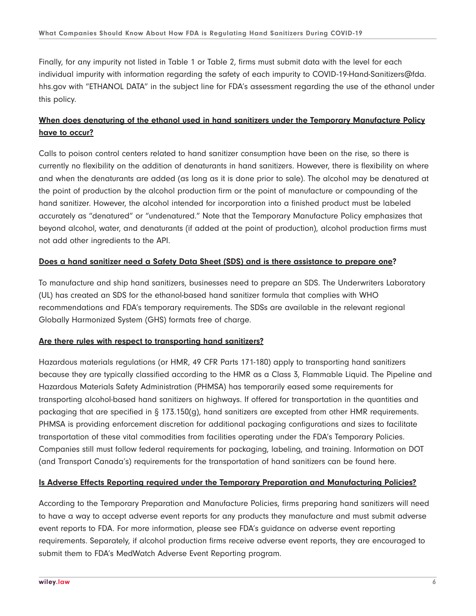Finally, for any impurity not listed in Table 1 or Table 2, firms must submit data with the level for each individual impurity with information regarding the safety of each impurity to COVID-19-Hand-Sanitizers@fda. hhs.gov with "ETHANOL DATA" in the subject line for FDA's assessment regarding the use of the ethanol under this policy.

# **When does denaturing of the ethanol used in hand sanitizers under the Temporary Manufacture Policy have to occur?**

Calls to poison control centers related to hand sanitizer consumption have been on the rise, so there is currently no flexibility on the addition of denaturants in hand sanitizers. However, there is flexibility on where and when the denaturants are added (as long as it is done prior to sale). The alcohol may be denatured at the point of production by the alcohol production firm or the point of manufacture or compounding of the hand sanitizer. However, the alcohol intended for incorporation into a finished product must be labeled accurately as "denatured" or "undenatured." Note that the Temporary Manufacture Policy emphasizes that beyond alcohol, water, and denaturants (if added at the point of production), alcohol production firms must not add other ingredients to the API.

# **Does a hand sanitizer need a Safety Data Sheet (SDS) and is there assistance to prepare one?**

To manufacture and ship hand sanitizers, businesses need to prepare an SDS. The Underwriters Laboratory (UL) has created an SDS for the ethanol-based hand sanitizer formula that complies with WHO recommendations and FDA's temporary requirements. The SDSs are available in the relevant regional Globally Harmonized System (GHS) formats free of charge.

## **Are there rules with respect to transporting hand sanitizers?**

Hazardous materials regulations (or HMR, 49 CFR Parts 171-180) apply to transporting hand sanitizers because they are typically classified according to the HMR as a Class 3, Flammable Liquid. The Pipeline and Hazardous Materials Safety Administration (PHMSA) has temporarily eased some requirements for transporting alcohol-based hand sanitizers on highways. If offered for transportation in the quantities and packaging that are specified in § 173.150(g), hand sanitizers are excepted from other HMR requirements. PHMSA is providing enforcement discretion for additional packaging configurations and sizes to facilitate transportation of these vital commodities from facilities operating under the FDA's Temporary Policies. Companies still must follow federal requirements for packaging, labeling, and training. Information on DOT (and Transport Canada's) requirements for the transportation of hand sanitizers can be found here.

# **Is Adverse Effects Reporting required under the Temporary Preparation and Manufacturing Policies?**

According to the Temporary Preparation and Manufacture Policies, firms preparing hand sanitizers will need to have a way to accept adverse event reports for any products they manufacture and must submit adverse event reports to FDA. For more information, please see FDA's guidance on adverse event reporting requirements. Separately, if alcohol production firms receive adverse event reports, they are encouraged to submit them to FDA's MedWatch Adverse Event Reporting program.